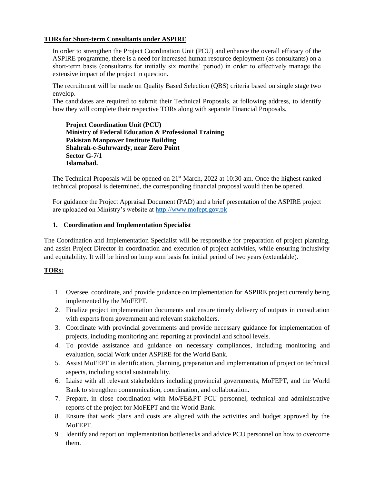## **TORs for Short-term Consultants under ASPIRE**

In order to strengthen the Project Coordination Unit (PCU) and enhance the overall efficacy of the ASPIRE programme, there is a need for increased human resource deployment (as consultants) on a short-term basis (consultants for initially six months' period) in order to effectively manage the extensive impact of the project in question.

The recruitment will be made on Quality Based Selection (QBS) criteria based on single stage two envelop.

The candidates are required to submit their Technical Proposals, at following address, to identify how they will complete their respective TORs along with separate Financial Proposals.

**Project Coordination Unit (PCU) Ministry of Federal Education & Professional Training Pakistan Manpower Institute Building Shahrah-e-Suhrwardy, near Zero Point Sector G-7/1 Islamabad.**

The Technical Proposals will be opened on  $21<sup>st</sup>$  March, 2022 at 10:30 am. Once the highest-ranked technical proposal is determined, the corresponding financial proposal would then be opened.

For guidance the Project Appraisal Document (PAD) and a brief presentation of the ASPIRE project are uploaded on Ministry's website at [http://www.mofept.gov.pk](http://www.mofept.gov.pk/)

## **1. Coordination and Implementation Specialist**

The Coordination and Implementation Specialist will be responsible for preparation of project planning, and assist Project Director in coordination and execution of project activities, while ensuring inclusivity and equitability. It will be hired on lump sum basis for initial period of two years (extendable).

# **TORs:**

- 1. Oversee, coordinate, and provide guidance on implementation for ASPIRE project currently being implemented by the MoFEPT.
- 2. Finalize project implementation documents and ensure timely delivery of outputs in consultation with experts from government and relevant stakeholders.
- 3. Coordinate with provincial governments and provide necessary guidance for implementation of projects, including monitoring and reporting at provincial and school levels.
- 4. To provide assistance and guidance on necessary compliances, including monitoring and evaluation, social Work under ASPIRE for the World Bank.
- 5. Assist MoFEPT in identification, planning, preparation and implementation of project on technical aspects, including social sustainability.
- 6. Liaise with all relevant stakeholders including provincial governments, MoFEPT, and the World Bank to strengthen communication, coordination, and collaboration.
- 7. Prepare, in close coordination with Mo/FE&PT PCU personnel, technical and administrative reports of the project for MoFEPT and the World Bank.
- 8. Ensure that work plans and costs are aligned with the activities and budget approved by the MoFEPT.
- 9. Identify and report on implementation bottlenecks and advice PCU personnel on how to overcome them.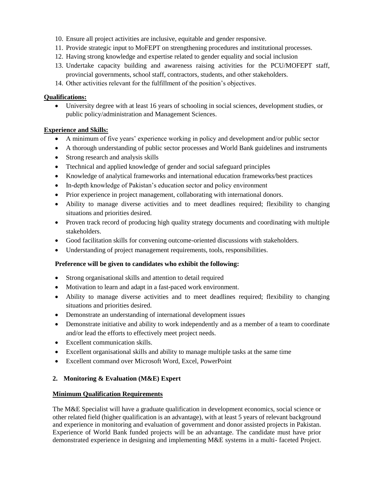- 10. Ensure all project activities are inclusive, equitable and gender responsive.
- 11. Provide strategic input to MoFEPT on strengthening procedures and institutional processes.
- 12. Having strong knowledge and expertise related to gender equality and social inclusion
- 13. Undertake capacity building and awareness raising activities for the PCU/MOFEPT staff, provincial governments, school staff, contractors, students, and other stakeholders.
- 14. Other activities relevant for the fulfillment of the position's objectives.

# **Qualifications:**

 University degree with at least 16 years of schooling in social sciences, development studies, or public policy/administration and Management Sciences.

# **Experience and Skills:**

- A minimum of five years' experience working in policy and development and/or public sector
- A thorough understanding of public sector processes and World Bank guidelines and instruments
- Strong research and analysis skills
- Ttechnical and applied knowledge of gender and social safeguard principles
- Knowledge of analytical frameworks and international education frameworks/best practices
- In-depth knowledge of Pakistan's education sector and policy environment
- Prior experience in project management, collaborating with international donors.
- Ability to manage diverse activities and to meet deadlines required; flexibility to changing situations and priorities desired.
- Proven track record of producing high quality strategy documents and coordinating with multiple stakeholders.
- Good facilitation skills for convening outcome-oriented discussions with stakeholders.
- Understanding of project management requirements, tools, responsibilities.

# **Preference will be given to candidates who exhibit the following:**

- Strong organisational skills and attention to detail required
- Motivation to learn and adapt in a fast-paced work environment.
- Ability to manage diverse activities and to meet deadlines required; flexibility to changing situations and priorities desired.
- Demonstrate an understanding of international development issues
- Demonstrate initiative and ability to work independently and as a member of a team to coordinate and/or lead the efforts to effectively meet project needs.
- Excellent communication skills.
- Excellent organisational skills and ability to manage multiple tasks at the same time
- Excellent command over Microsoft Word, Excel, PowerPoint

# **2. Monitoring & Evaluation (M&E) Expert**

# **Minimum Qualification Requirements**

The M&E Specialist will have a graduate qualification in development economics, social science or other related field (higher qualification is an advantage), with at least 5 years of relevant background and experience in monitoring and evaluation of government and donor assisted projects in Pakistan. Experience of World Bank funded projects will be an advantage. The candidate must have prior demonstrated experience in designing and implementing M&E systems in a multi- faceted Project.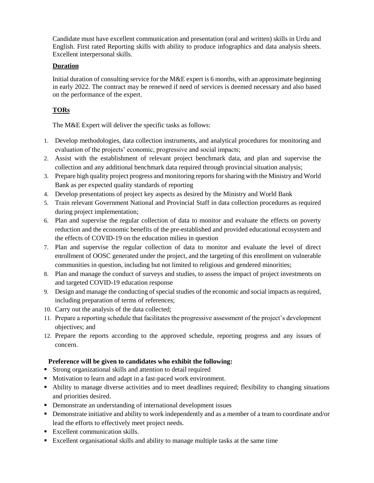Candidate must have excellent communication and presentation (oral and written) skills in Urdu and English. First rated Reporting skills with ability to produce infographics and data analysis sheets. Excellent interpersonal skills.

# **Duration**

Initial duration of consulting service for the M&E expert is 6 months, with an approximate beginning in early 2022. The contract may be renewed if need of services is deemed necessary and also based on the performance of the expert.

# **TORs**

The M&E Expert will deliver the specific tasks as follows:

- 1. Develop methodologies, data collection instruments, and analytical procedures for monitoring and evaluation of the projects' economic, progressive and social impacts;
- 2. Assist with the establishment of relevant project benchmark data, and plan and supervise the collection and any additional benchmark data required through provincial situation analysis;
- 3. Prepare high quality project progress and monitoring reports for sharing with the Ministry and World Bank as per expected quality standards of reporting
- 4. Develop presentations of project key aspects as desired by the Ministry and World Bank
- 5. Train relevant Government National and Provincial Staff in data collection procedures as required during project implementation;
- 6. Plan and supervise the regular collection of data to monitor and evaluate the effects on poverty reduction and the economic benefits of the pre-established and provided educational ecosystem and the effects of COVID-19 on the education milieu in question
- 7. Plan and supervise the regular collection of data to monitor and evaluate the level of direct enrollment of OOSC generated under the project, and the targeting of this enrollment on vulnerable communities in question, including but not limited to religious and gendered minorities;
- 8. Plan and manage the conduct of surveys and studies, to assess the impact of project investments on and targeted COVID-19 education response
- 9. Design and manage the conducting of special studies of the economic and social impacts as required, including preparation of terms of references;
- 10. Carry out the analysis of the data collected;
- 11. Prepare a reporting schedule that facilitates the progressive assessment of the project's development objectives; and
- 12. Prepare the reports according to the approved schedule, reporting progress and any issues of concern.

# **Preference will be given to candidates who exhibit the following:**

- Strong organizational skills and attention to detail required
- Motivation to learn and adapt in a fast-paced work environment.
- Ability to manage diverse activities and to meet deadlines required; flexibility to changing situations and priorities desired.
- Demonstrate an understanding of international development issues
- Demonstrate initiative and ability to work independently and as a member of a team to coordinate and/or lead the efforts to effectively meet project needs.
- Excellent communication skills.
- Excellent organisational skills and ability to manage multiple tasks at the same time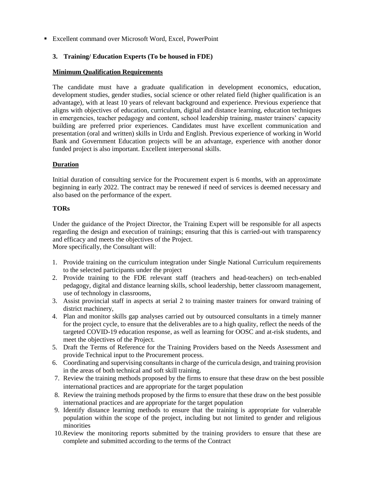Excellent command over Microsoft Word, Excel, PowerPoint

## **3. Training/ Education Experts (To be housed in FDE)**

## **Minimum Qualification Requirements**

The candidate must have a graduate qualification in development economics, education, development studies, gender studies, social science or other related field (higher qualification is an advantage), with at least 10 years of relevant background and experience. Previous experience that aligns with objectives of education, curriculum, digital and distance learning, education techniques in emergencies, teacher pedagogy and content, school leadership training, master trainers' capacity building are preferred prior experiences. Candidates must have excellent communication and presentation (oral and written) skills in Urdu and English. Previous experience of working in World Bank and Government Education projects will be an advantage, experience with another donor funded project is also important. Excellent interpersonal skills.

## **Duration**

Initial duration of consulting service for the Procurement expert is 6 months, with an approximate beginning in early 2022. The contract may be renewed if need of services is deemed necessary and also based on the performance of the expert.

## **TORs**

Under the guidance of the Project Director, the Training Expert will be responsible for all aspects regarding the design and execution of trainings; ensuring that this is carried-out with transparency and efficacy and meets the objectives of the Project. More specifically, the Consultant will:

- 1. Provide training on the curriculum integration under Single National Curriculum requirements to the selected participants under the project
- 2. Provide training to the FDE relevant staff (teachers and head-teachers) on tech-enabled pedagogy, digital and distance learning skills, school leadership, better classroom management, use of technology in classrooms,
- 3. Assist provincial staff in aspects at serial 2 to training master trainers for onward training of district machinery,
- 4. Plan and monitor skills gap analyses carried out by outsourced consultants in a timely manner for the project cycle, to ensure that the deliverables are to a high quality, reflect the needs of the targeted COVID-19 education response, as well as learning for OOSC and at-risk students, and meet the objectives of the Project.
- 5. Draft the Terms of Reference for the Training Providers based on the Needs Assessment and provide Technical input to the Procurement process.
- 6. Coordinating and supervising consultants in charge of the curricula design, and training provision in the areas of both technical and soft skill training.
- 7. Review the training methods proposed by the firms to ensure that these draw on the best possible international practices and are appropriate for the target population
- 8. Review the training methods proposed by the firms to ensure that these draw on the best possible international practices and are appropriate for the target population
- 9. Identify distance learning methods to ensure that the training is appropriate for vulnerable population within the scope of the project, including but not limited to gender and religious minorities
- 10.Review the monitoring reports submitted by the training providers to ensure that these are complete and submitted according to the terms of the Contract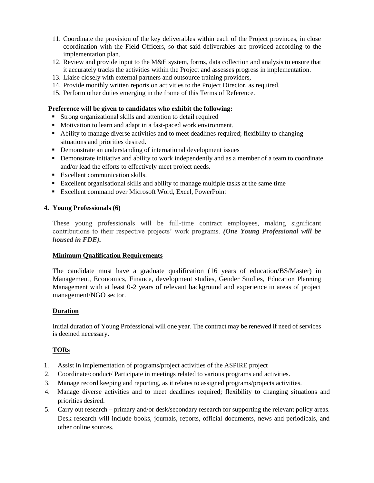- 11. Coordinate the provision of the key deliverables within each of the Project provinces, in close coordination with the Field Officers, so that said deliverables are provided according to the implementation plan.
- 12. Review and provide input to the M&E system, forms, data collection and analysis to ensure that it accurately tracks the activities within the Project and assesses progress in implementation.
- 13. Liaise closely with external partners and outsource training providers,
- 14. Provide monthly written reports on activities to the Project Director, as required.
- 15. Perform other duties emerging in the frame of this Terms of Reference.

## **Preference will be given to candidates who exhibit the following:**

- Strong organizational skills and attention to detail required
- Motivation to learn and adapt in a fast-paced work environment.
- Ability to manage diverse activities and to meet deadlines required; flexibility to changing situations and priorities desired.
- Demonstrate an understanding of international development issues
- Demonstrate initiative and ability to work independently and as a member of a team to coordinate and/or lead the efforts to effectively meet project needs.
- **Excellent communication skills.**
- Excellent organisational skills and ability to manage multiple tasks at the same time
- Excellent command over Microsoft Word, Excel, PowerPoint

## **4. Young Professionals (6)**

These young professionals will be full-time contract employees, making significant contributions to their respective projects' work programs. *(One Young Professional will be housed in FDE).*

## **Minimum Qualification Requirements**

The candidate must have a graduate qualification (16 years of education/BS/Master) in Management, Economics, Finance, development studies, Gender Studies, Education Planning Management with at least 0-2 years of relevant background and experience in areas of project management/NGO sector.

## **Duration**

Initial duration of Young Professional will one year. The contract may be renewed if need of services is deemed necessary.

# **TORs**

- 1. Assist in implementation of programs/project activities of the ASPIRE project
- 2. Coordinate/conduct/ Participate in meetings related to various programs and activities.
- 3. Manage record keeping and reporting, as it relates to assigned programs/projects activities.
- 4. Manage diverse activities and to meet deadlines required; flexibility to changing situations and priorities desired.
- 5. Carry out research primary and/or desk/secondary research for supporting the relevant policy areas. Desk research will include books, journals, reports, official documents, news and periodicals, and other online sources.